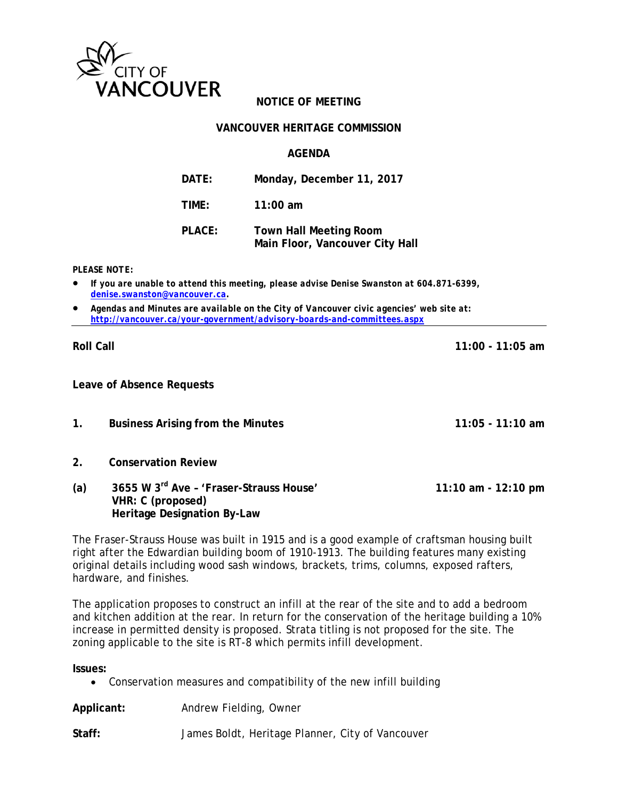

#### **VANCOUVER HERITAGE COMMISSION**

## **AGENDA**

| DATE:  | Monday, December 11, 2017                                        |
|--------|------------------------------------------------------------------|
| TIME:  | $11:00$ am                                                       |
| PLACE: | <b>Town Hall Meeting Room</b><br>Main Floor, Vancouver City Hall |

*PLEASE NOTE:* 

- *If you are unable to attend this meeting, please advise Denise Swanston at 604.871-6399, denise.swanston@vancouver.ca.*
- *Agendas and Minutes are available on the City of Vancouver civic agencies' web site at: http://vancouver.ca/your-government/advisory-boards-and-committees.aspx*

**Leave of Absence Requests** 

- **1. Business Arising from the Minutes 11:05 11:10 am**
- **2. Conservation Review**
- **(a) 3655 W 3rd Ave 'Fraser-Strauss House' 11:10 am 12:10 pm VHR: C (proposed) Heritage Designation By-Law**

The Fraser-Strauss House was built in 1915 and is a good example of craftsman housing built right after the Edwardian building boom of 1910-1913. The building features many existing original details including wood sash windows, brackets, trims, columns, exposed rafters, hardware, and finishes.

The application proposes to construct an infill at the rear of the site and to add a bedroom and kitchen addition at the rear. In return for the conservation of the heritage building a 10% increase in permitted density is proposed. Strata titling is not proposed for the site. The zoning applicable to the site is RT-8 which permits infill development.

**Issues:**

Conservation measures and compatibility of the new infill building

**Applicant:** Andrew Fielding, Owner

**Staff:** James Boldt, Heritage Planner, City of Vancouver

**Roll Call 11:00 - 11:05 am**